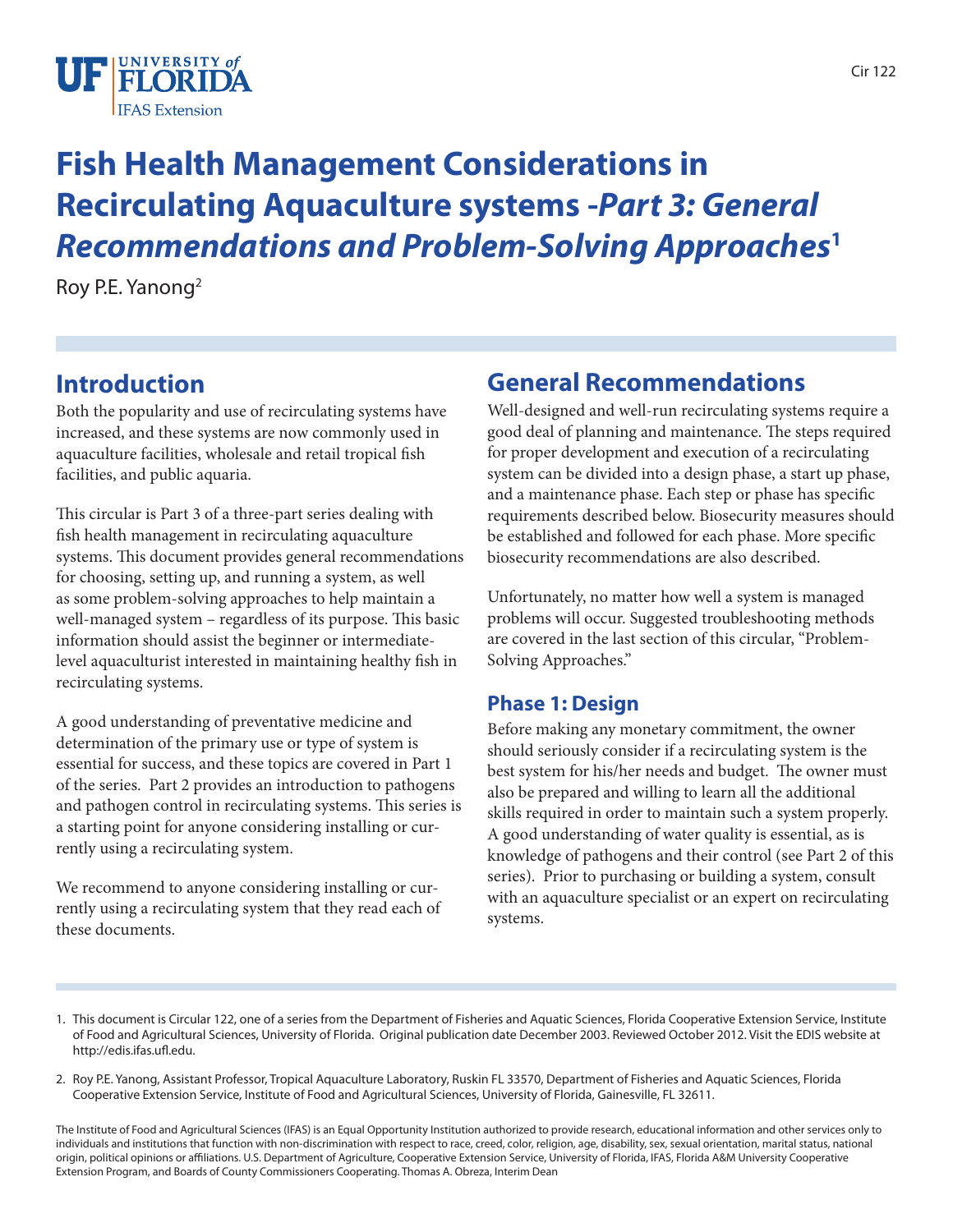

# **Fish Health Management Considerations in Recirculating Aquaculture systems -***Part 3: General Recommendations and Problem-Solving Approaches***<sup>1</sup>**

Roy P.E. Yanong2

# **Introduction**

Both the popularity and use of recirculating systems have increased, and these systems are now commonly used in aquaculture facilities, wholesale and retail tropical fish facilities, and public aquaria.

This circular is Part 3 of a three-part series dealing with fish health management in recirculating aquaculture systems. This document provides general recommendations for choosing, setting up, and running a system, as well as some problem-solving approaches to help maintain a well-managed system – regardless of its purpose. This basic information should assist the beginner or intermediatelevel aquaculturist interested in maintaining healthy fish in recirculating systems.

A good understanding of preventative medicine and determination of the primary use or type of system is essential for success, and these topics are covered in Part 1 of the series. Part 2 provides an introduction to pathogens and pathogen control in recirculating systems. This series is a starting point for anyone considering installing or currently using a recirculating system.

We recommend to anyone considering installing or currently using a recirculating system that they read each of these documents.

# **General Recommendations**

Well-designed and well-run recirculating systems require a good deal of planning and maintenance. The steps required for proper development and execution of a recirculating system can be divided into a design phase, a start up phase, and a maintenance phase. Each step or phase has specific requirements described below. Biosecurity measures should be established and followed for each phase. More specific biosecurity recommendations are also described.

Unfortunately, no matter how well a system is managed problems will occur. Suggested troubleshooting methods are covered in the last section of this circular, "Problem-Solving Approaches."

#### **Phase 1: Design**

Before making any monetary commitment, the owner should seriously consider if a recirculating system is the best system for his/her needs and budget. The owner must also be prepared and willing to learn all the additional skills required in order to maintain such a system properly. A good understanding of water quality is essential, as is knowledge of pathogens and their control (see Part 2 of this series). Prior to purchasing or building a system, consult with an aquaculture specialist or an expert on recirculating systems.

- 1. This document is Circular 122, one of a series from the Department of Fisheries and Aquatic Sciences, Florida Cooperative Extension Service, Institute of Food and Agricultural Sciences, University of Florida. Original publication date December 2003. Reviewed October 2012. Visit the EDIS website at http://edis.ifas.ufl.edu.
- 2. Roy P.E. Yanong, Assistant Professor, Tropical Aquaculture Laboratory, Ruskin FL 33570, Department of Fisheries and Aquatic Sciences, Florida Cooperative Extension Service, Institute of Food and Agricultural Sciences, University of Florida, Gainesville, FL 32611.

The Institute of Food and Agricultural Sciences (IFAS) is an Equal Opportunity Institution authorized to provide research, educational information and other services only to individuals and institutions that function with non-discrimination with respect to race, creed, color, religion, age, disability, sex, sexual orientation, marital status, national origin, political opinions or affiliations. U.S. Department of Agriculture, Cooperative Extension Service, University of Florida, IFAS, Florida A&M University Cooperative Extension Program, and Boards of County Commissioners Cooperating. Thomas A. Obreza, Interim Dean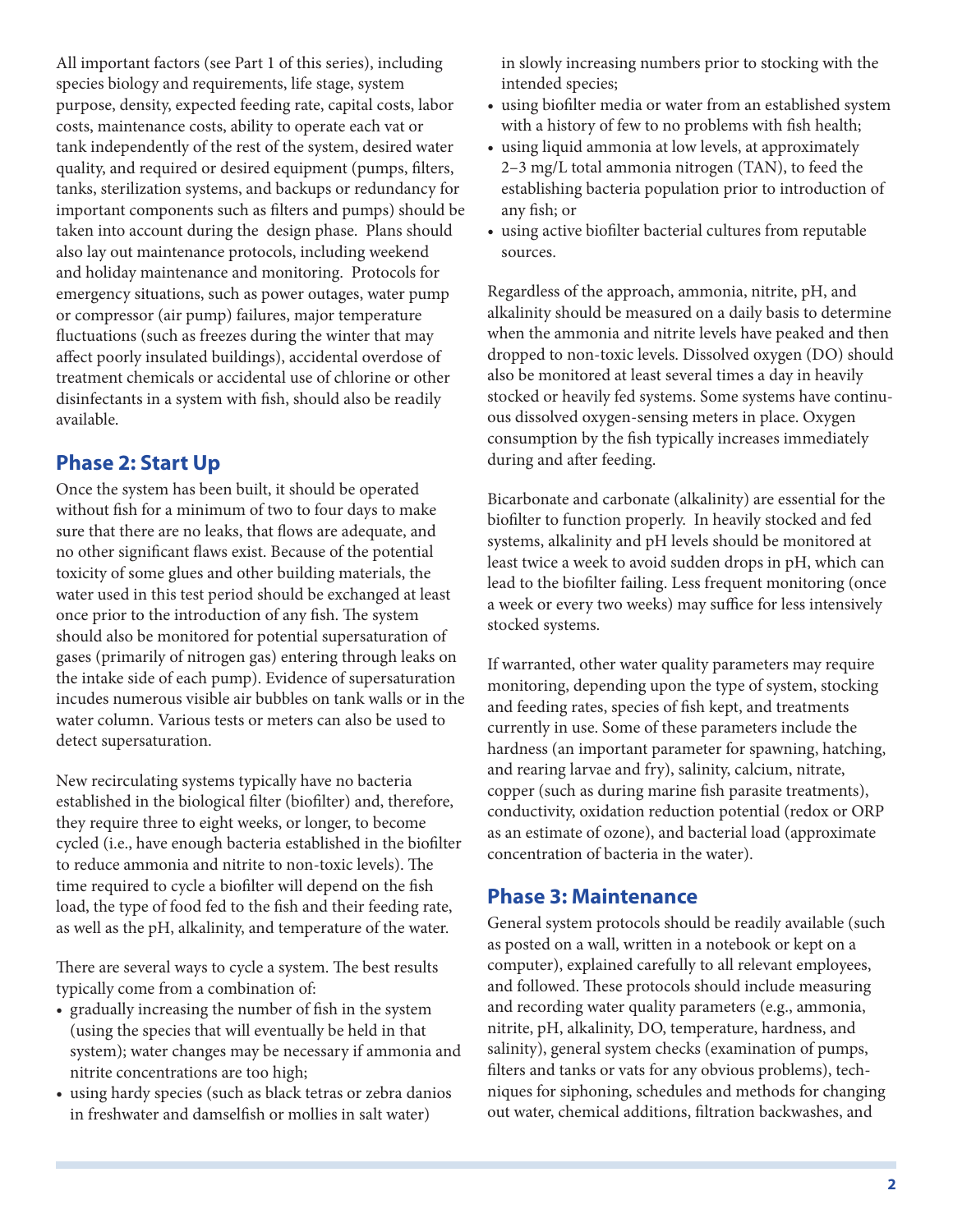All important factors (see Part 1 of this series), including species biology and requirements, life stage, system purpose, density, expected feeding rate, capital costs, labor costs, maintenance costs, ability to operate each vat or tank independently of the rest of the system, desired water quality, and required or desired equipment (pumps, filters, tanks, sterilization systems, and backups or redundancy for important components such as filters and pumps) should be taken into account during the design phase. Plans should also lay out maintenance protocols, including weekend and holiday maintenance and monitoring. Protocols for emergency situations, such as power outages, water pump or compressor (air pump) failures, major temperature fluctuations (such as freezes during the winter that may affect poorly insulated buildings), accidental overdose of treatment chemicals or accidental use of chlorine or other disinfectants in a system with fish, should also be readily available.

### **Phase 2: Start Up**

Once the system has been built, it should be operated without fish for a minimum of two to four days to make sure that there are no leaks, that flows are adequate, and no other significant flaws exist. Because of the potential toxicity of some glues and other building materials, the water used in this test period should be exchanged at least once prior to the introduction of any fish. The system should also be monitored for potential supersaturation of gases (primarily of nitrogen gas) entering through leaks on the intake side of each pump). Evidence of supersaturation incudes numerous visible air bubbles on tank walls or in the water column. Various tests or meters can also be used to detect supersaturation.

New recirculating systems typically have no bacteria established in the biological filter (biofilter) and, therefore, they require three to eight weeks, or longer, to become cycled (i.e., have enough bacteria established in the biofilter to reduce ammonia and nitrite to non-toxic levels). The time required to cycle a biofilter will depend on the fish load, the type of food fed to the fish and their feeding rate, as well as the pH, alkalinity, and temperature of the water.

There are several ways to cycle a system. The best results typically come from a combination of:

- gradually increasing the number of fish in the system (using the species that will eventually be held in that system); water changes may be necessary if ammonia and nitrite concentrations are too high;
- using hardy species (such as black tetras or zebra danios in freshwater and damselfish or mollies in salt water)

in slowly increasing numbers prior to stocking with the intended species;

- using biofilter media or water from an established system with a history of few to no problems with fish health;
- using liquid ammonia at low levels, at approximately 2–3 mg/L total ammonia nitrogen (TAN), to feed the establishing bacteria population prior to introduction of any fish; or
- • using active biofilter bacterial cultures from reputable sources.

Regardless of the approach, ammonia, nitrite, pH, and alkalinity should be measured on a daily basis to determine when the ammonia and nitrite levels have peaked and then dropped to non-toxic levels. Dissolved oxygen (DO) should also be monitored at least several times a day in heavily stocked or heavily fed systems. Some systems have continuous dissolved oxygen-sensing meters in place. Oxygen consumption by the fish typically increases immediately during and after feeding.

Bicarbonate and carbonate (alkalinity) are essential for the biofilter to function properly. In heavily stocked and fed systems, alkalinity and pH levels should be monitored at least twice a week to avoid sudden drops in pH, which can lead to the biofilter failing. Less frequent monitoring (once a week or every two weeks) may suffice for less intensively stocked systems.

If warranted, other water quality parameters may require monitoring, depending upon the type of system, stocking and feeding rates, species of fish kept, and treatments currently in use. Some of these parameters include the hardness (an important parameter for spawning, hatching, and rearing larvae and fry), salinity, calcium, nitrate, copper (such as during marine fish parasite treatments), conductivity, oxidation reduction potential (redox or ORP as an estimate of ozone), and bacterial load (approximate concentration of bacteria in the water).

#### **Phase 3: Maintenance**

General system protocols should be readily available (such as posted on a wall, written in a notebook or kept on a computer), explained carefully to all relevant employees, and followed. These protocols should include measuring and recording water quality parameters (e.g., ammonia, nitrite, pH, alkalinity, DO, temperature, hardness, and salinity), general system checks (examination of pumps, filters and tanks or vats for any obvious problems), techniques for siphoning, schedules and methods for changing out water, chemical additions, filtration backwashes, and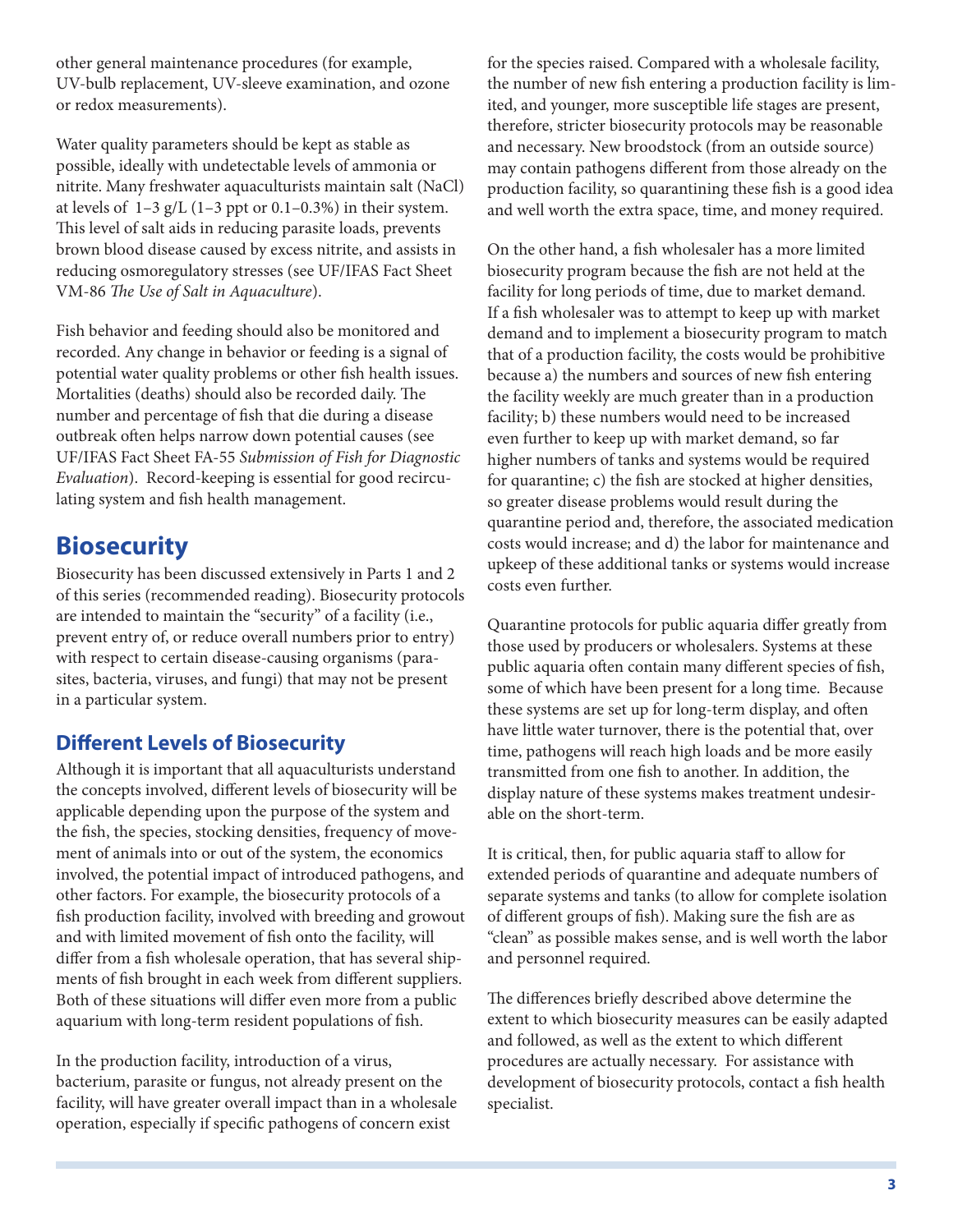other general maintenance procedures (for example, UV-bulb replacement, UV-sleeve examination, and ozone or redox measurements).

Water quality parameters should be kept as stable as possible, ideally with undetectable levels of ammonia or nitrite. Many freshwater aquaculturists maintain salt (NaCl) at levels of  $1-3$  g/L (1-3 ppt or 0.1-0.3%) in their system. This level of salt aids in reducing parasite loads, prevents brown blood disease caused by excess nitrite, and assists in reducing osmoregulatory stresses (see UF/IFAS Fact Sheet VM-86 *The Use of Salt in Aquaculture*).

Fish behavior and feeding should also be monitored and recorded. Any change in behavior or feeding is a signal of potential water quality problems or other fish health issues. Mortalities (deaths) should also be recorded daily. The number and percentage of fish that die during a disease outbreak often helps narrow down potential causes (see UF/IFAS Fact Sheet FA-55 *Submission of Fish for Diagnostic Evaluation*). Record-keeping is essential for good recirculating system and fish health management.

# **Biosecurity**

Biosecurity has been discussed extensively in Parts 1 and 2 of this series (recommended reading). Biosecurity protocols are intended to maintain the "security" of a facility (i.e., prevent entry of, or reduce overall numbers prior to entry) with respect to certain disease-causing organisms (parasites, bacteria, viruses, and fungi) that may not be present in a particular system.

### **Different Levels of Biosecurity**

Although it is important that all aquaculturists understand the concepts involved, different levels of biosecurity will be applicable depending upon the purpose of the system and the fish, the species, stocking densities, frequency of movement of animals into or out of the system, the economics involved, the potential impact of introduced pathogens, and other factors. For example, the biosecurity protocols of a fish production facility, involved with breeding and growout and with limited movement of fish onto the facility, will differ from a fish wholesale operation, that has several shipments of fish brought in each week from different suppliers. Both of these situations will differ even more from a public aquarium with long-term resident populations of fish.

In the production facility, introduction of a virus, bacterium, parasite or fungus, not already present on the facility, will have greater overall impact than in a wholesale operation, especially if specific pathogens of concern exist

for the species raised. Compared with a wholesale facility, the number of new fish entering a production facility is limited, and younger, more susceptible life stages are present, therefore, stricter biosecurity protocols may be reasonable and necessary. New broodstock (from an outside source) may contain pathogens different from those already on the production facility, so quarantining these fish is a good idea and well worth the extra space, time, and money required.

On the other hand, a fish wholesaler has a more limited biosecurity program because the fish are not held at the facility for long periods of time, due to market demand. If a fish wholesaler was to attempt to keep up with market demand and to implement a biosecurity program to match that of a production facility, the costs would be prohibitive because a) the numbers and sources of new fish entering the facility weekly are much greater than in a production facility; b) these numbers would need to be increased even further to keep up with market demand, so far higher numbers of tanks and systems would be required for quarantine; c) the fish are stocked at higher densities, so greater disease problems would result during the quarantine period and, therefore, the associated medication costs would increase; and d) the labor for maintenance and upkeep of these additional tanks or systems would increase costs even further.

Quarantine protocols for public aquaria differ greatly from those used by producers or wholesalers. Systems at these public aquaria often contain many different species of fish, some of which have been present for a long time. Because these systems are set up for long-term display, and often have little water turnover, there is the potential that, over time, pathogens will reach high loads and be more easily transmitted from one fish to another. In addition, the display nature of these systems makes treatment undesirable on the short-term.

It is critical, then, for public aquaria staff to allow for extended periods of quarantine and adequate numbers of separate systems and tanks (to allow for complete isolation of different groups of fish). Making sure the fish are as "clean" as possible makes sense, and is well worth the labor and personnel required.

The differences briefly described above determine the extent to which biosecurity measures can be easily adapted and followed, as well as the extent to which different procedures are actually necessary. For assistance with development of biosecurity protocols, contact a fish health specialist.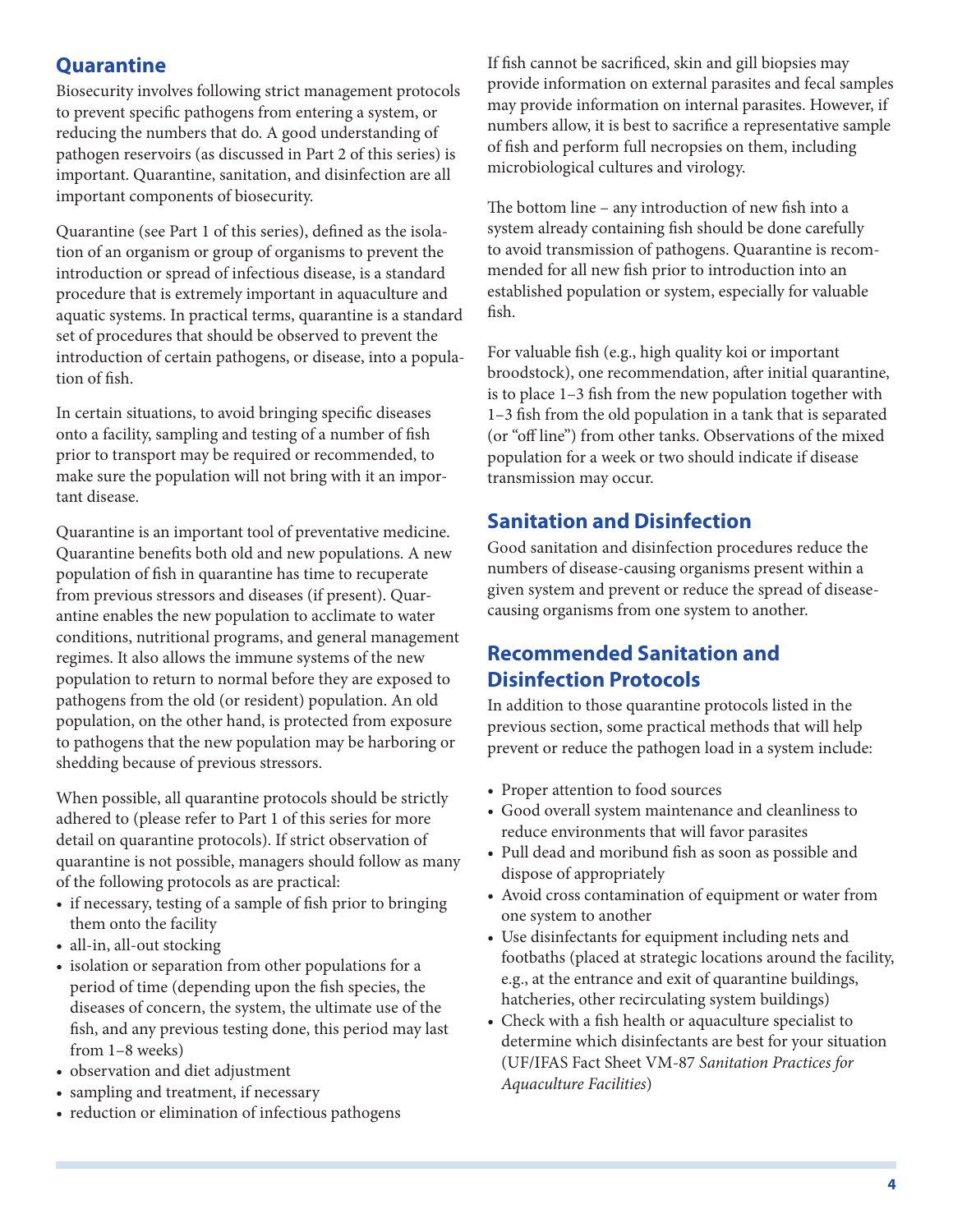#### **Quarantine**

Biosecurity involves following strict management protocols to prevent specific pathogens from entering a system, or reducing the numbers that do. A good understanding of pathogen reservoirs (as discussed in Part 2 of this series) is important. Quarantine, sanitation, and disinfection are all important components of biosecurity.

Quarantine (see Part 1 of this series), defined as the isolation of an organism or group of organisms to prevent the introduction or spread of infectious disease, is a standard procedure that is extremely important in aquaculture and aquatic systems. In practical terms, quarantine is a standard set of procedures that should be observed to prevent the introduction of certain pathogens, or disease, into a population of fish.

In certain situations, to avoid bringing specific diseases onto a facility, sampling and testing of a number of fish prior to transport may be required or recommended, to make sure the population will not bring with it an important disease.

Quarantine is an important tool of preventative medicine. Quarantine benefits both old and new populations. A new population of fish in quarantine has time to recuperate from previous stressors and diseases (if present). Quarantine enables the new population to acclimate to water conditions, nutritional programs, and general management regimes. It also allows the immune systems of the new population to return to normal before they are exposed to pathogens from the old (or resident) population. An old population, on the other hand, is protected from exposure to pathogens that the new population may be harboring or shedding because of previous stressors.

When possible, all quarantine protocols should be strictly adhered to (please refer to Part 1 of this series for more detail on quarantine protocols). If strict observation of quarantine is not possible, managers should follow as many of the following protocols as are practical:

- if necessary, testing of a sample of fish prior to bringing them onto the facility
- all-in, all-out stocking
- isolation or separation from other populations for a period of time (depending upon the fish species, the diseases of concern, the system, the ultimate use of the fish, and any previous testing done, this period may last from 1–8 weeks)
- • observation and diet adjustment
- sampling and treatment, if necessary
- reduction or elimination of infectious pathogens

If fish cannot be sacrificed, skin and gill biopsies may provide information on external parasites and fecal samples may provide information on internal parasites. However, if numbers allow, it is best to sacrifice a representative sample of fish and perform full necropsies on them, including microbiological cultures and virology.

The bottom line – any introduction of new fish into a system already containing fish should be done carefully to avoid transmission of pathogens. Quarantine is recommended for all new fish prior to introduction into an established population or system, especially for valuable fish.

For valuable fish (e.g., high quality koi or important broodstock), one recommendation, after initial quarantine, is to place 1–3 fish from the new population together with 1–3 fish from the old population in a tank that is separated (or "off line") from other tanks. Observations of the mixed population for a week or two should indicate if disease transmission may occur.

#### **Sanitation and Disinfection**

Good sanitation and disinfection procedures reduce the numbers of disease-causing organisms present within a given system and prevent or reduce the spread of diseasecausing organisms from one system to another.

### **Recommended Sanitation and Disinfection Protocols**

In addition to those quarantine protocols listed in the previous section, some practical methods that will help prevent or reduce the pathogen load in a system include:

- Proper attention to food sources
- • Good overall system maintenance and cleanliness to reduce environments that will favor parasites
- • Pull dead and moribund fish as soon as possible and dispose of appropriately
- Avoid cross contamination of equipment or water from one system to another
- • Use disinfectants for equipment including nets and footbaths (placed at strategic locations around the facility, e.g., at the entrance and exit of quarantine buildings, hatcheries, other recirculating system buildings)
- • Check with a fish health or aquaculture specialist to determine which disinfectants are best for your situation (UF/IFAS Fact Sheet VM-87 *Sanitation Practices for Aquaculture Facilities*)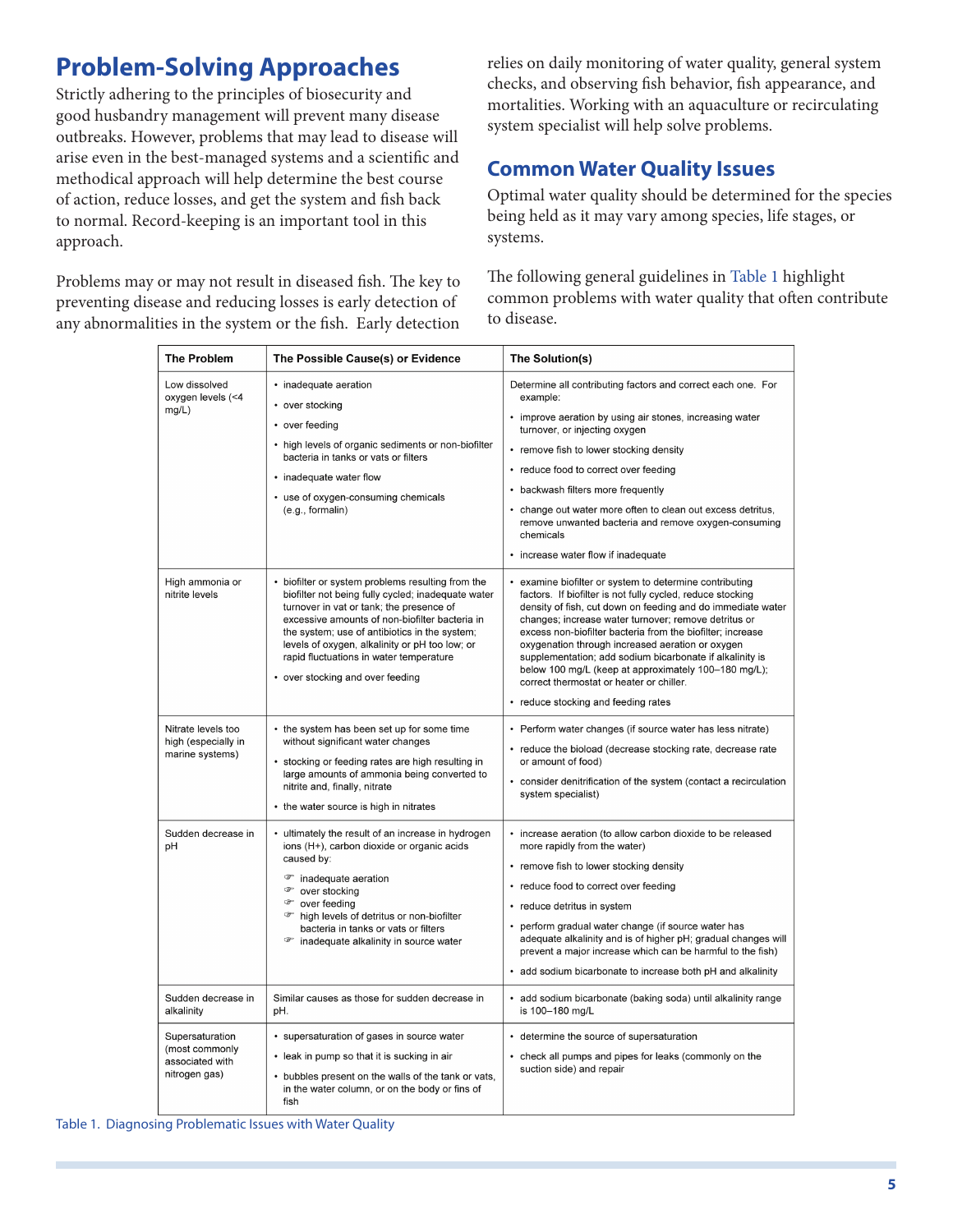# **Problem-Solving Approaches**

Strictly adhering to the principles of biosecurity and good husbandry management will prevent many disease outbreaks. However, problems that may lead to disease will arise even in the best-managed systems and a scientific and methodical approach will help determine the best course of action, reduce losses, and get the system and fish back to normal. Record-keeping is an important tool in this approach.

Problems may or may not result in diseased fish. The key to preventing disease and reducing losses is early detection of any abnormalities in the system or the fish. Early detection relies on daily monitoring of water quality, general system checks, and observing fish behavior, fish appearance, and mortalities. Working with an aquaculture or recirculating system specialist will help solve problems.

### **Common Water Quality Issues**

Optimal water quality should be determined for the species being held as it may vary among species, life stages, or systems.

The following general guidelines in [Table 1](FIGURE_1) highlight common problems with water quality that often contribute to disease.

| <b>The Problem</b>                                                                                        | The Possible Cause(s) or Evidence                                                                                                                                                                                                                                                                                                                                                       | The Solution(s)                                                                                                                                                                                                                                                                                                                                                                                                                                                                                                                                                       |
|-----------------------------------------------------------------------------------------------------------|-----------------------------------------------------------------------------------------------------------------------------------------------------------------------------------------------------------------------------------------------------------------------------------------------------------------------------------------------------------------------------------------|-----------------------------------------------------------------------------------------------------------------------------------------------------------------------------------------------------------------------------------------------------------------------------------------------------------------------------------------------------------------------------------------------------------------------------------------------------------------------------------------------------------------------------------------------------------------------|
| Low dissolved<br>oxygen levels (<4<br>mg/L)                                                               | • inadequate aeration<br>• over stocking<br>• over feeding<br>• high levels of organic sediments or non-biofilter<br>bacteria in tanks or vats or filters<br>• inadequate water flow<br>• use of oxygen-consuming chemicals<br>(e.g., formulalin)                                                                                                                                       | Determine all contributing factors and correct each one. For<br>example:<br>• improve aeration by using air stones, increasing water<br>turnover, or injecting oxygen<br>• remove fish to lower stocking density<br>• reduce food to correct over feeding<br>• backwash filters more frequently<br>• change out water more often to clean out excess detritus,<br>remove unwanted bacteria and remove oxygen-consuming<br>chemicals<br>• increase water flow if inadequate                                                                                            |
| High ammonia or<br>nitrite levels                                                                         | • biofilter or system problems resulting from the<br>biofilter not being fully cycled; inadequate water<br>turnover in vat or tank; the presence of<br>excessive amounts of non-biofilter bacteria in<br>the system; use of antibiotics in the system;<br>levels of oxygen, alkalinity or pH too low; or<br>rapid fluctuations in water temperature<br>• over stocking and over feeding | • examine biofilter or system to determine contributing<br>factors. If biofilter is not fully cycled, reduce stocking<br>density of fish, cut down on feeding and do immediate water<br>changes; increase water turnover; remove detritus or<br>excess non-biofilter bacteria from the biofilter; increase<br>oxygenation through increased aeration or oxygen<br>supplementation; add sodium bicarbonate if alkalinity is<br>below 100 mg/L (keep at approximately 100-180 mg/L);<br>correct thermostat or heater or chiller.<br>• reduce stocking and feeding rates |
| Nitrate levels too<br>high (especially in<br>marine systems)                                              | • the system has been set up for some time<br>without significant water changes<br>• stocking or feeding rates are high resulting in<br>large amounts of ammonia being converted to<br>nitrite and, finally, nitrate<br>• the water source is high in nitrates                                                                                                                          | • Perform water changes (if source water has less nitrate)<br>• reduce the bioload (decrease stocking rate, decrease rate<br>or amount of food)<br>• consider denitrification of the system (contact a recirculation<br>system specialist)                                                                                                                                                                                                                                                                                                                            |
| Sudden decrease in<br>pH                                                                                  | • ultimately the result of an increase in hydrogen<br>ions (H+), carbon dioxide or organic acids<br>caused by:<br><sup>o</sup> inadequate aeration<br><sup>o</sup> over stocking<br><b><i>T</i></b> over feeding<br><sup>o</sup> high levels of detritus or non-biofilter<br>bacteria in tanks or vats or filters<br><sup>o</sup> inadequate alkalinity in source water                 | • increase aeration (to allow carbon dioxide to be released<br>more rapidly from the water)<br>• remove fish to lower stocking density<br>• reduce food to correct over feeding<br>• reduce detritus in system<br>• perform gradual water change (if source water has<br>adequate alkalinity and is of higher pH; gradual changes will<br>prevent a major increase which can be harmful to the fish)<br>• add sodium bicarbonate to increase both pH and alkalinity                                                                                                   |
| Sudden decrease in<br>alkalinity<br>Supersaturation<br>(most commonly<br>associated with<br>nitrogen gas) | Similar causes as those for sudden decrease in<br>pH.<br>• supersaturation of gases in source water                                                                                                                                                                                                                                                                                     | • add sodium bicarbonate (baking soda) until alkalinity range<br>is 100-180 mg/L<br>• determine the source of supersaturation                                                                                                                                                                                                                                                                                                                                                                                                                                         |
|                                                                                                           | • leak in pump so that it is sucking in air<br>• bubbles present on the walls of the tank or vats,<br>in the water column, or on the body or fins of<br>fish                                                                                                                                                                                                                            | • check all pumps and pipes for leaks (commonly on the<br>suction side) and repair                                                                                                                                                                                                                                                                                                                                                                                                                                                                                    |

Table 1. Diagnosing Problematic Issues with Water Quality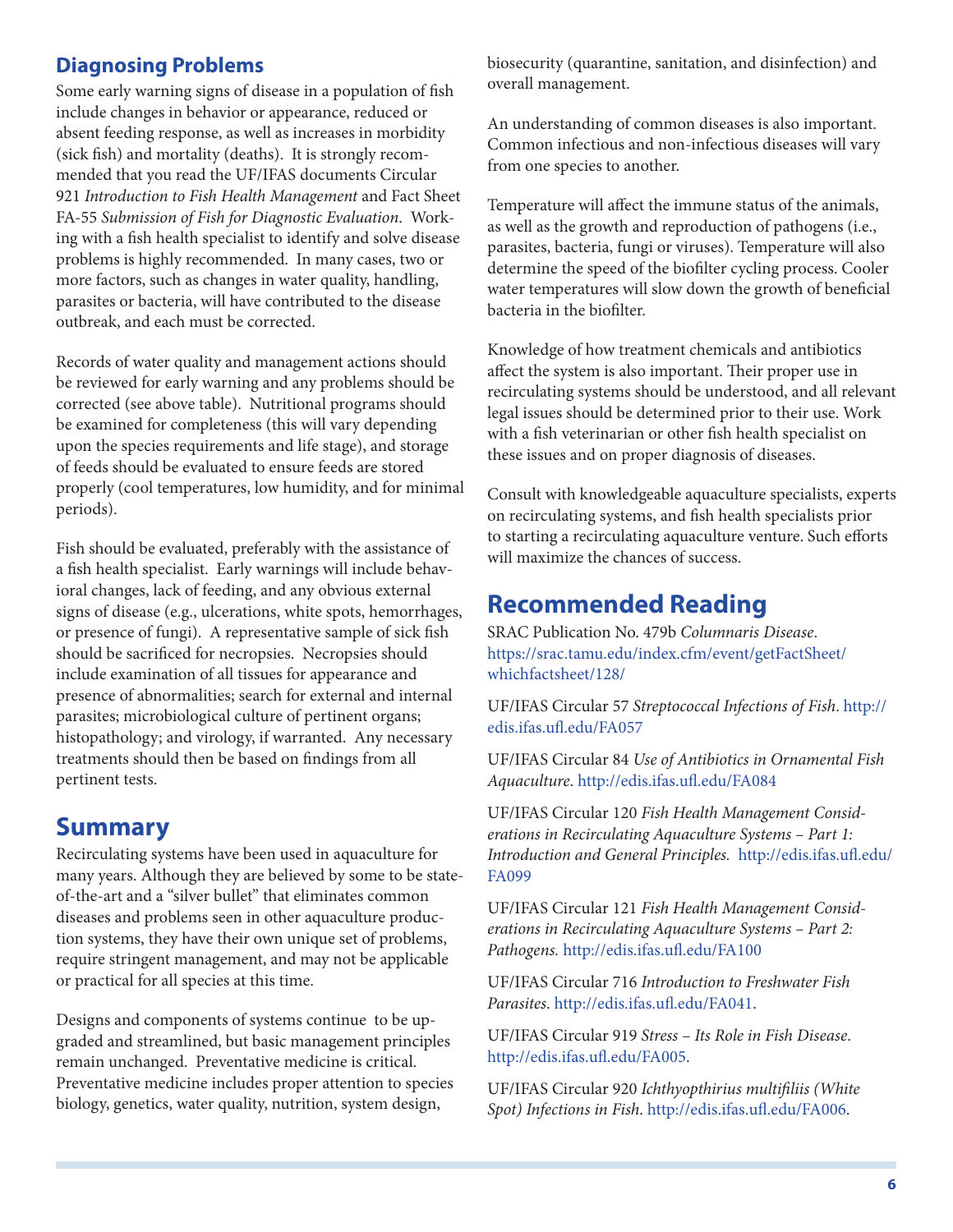#### **Diagnosing Problems**

Some early warning signs of disease in a population of fish include changes in behavior or appearance, reduced or absent feeding response, as well as increases in morbidity (sick fish) and mortality (deaths). It is strongly recommended that you read the UF/IFAS documents Circular 921 *Introduction to Fish Health Management* and Fact Sheet FA-55 *Submission of Fish for Diagnostic Evaluation*. Working with a fish health specialist to identify and solve disease problems is highly recommended. In many cases, two or more factors, such as changes in water quality, handling, parasites or bacteria, will have contributed to the disease outbreak, and each must be corrected.

Records of water quality and management actions should be reviewed for early warning and any problems should be corrected (see above table). Nutritional programs should be examined for completeness (this will vary depending upon the species requirements and life stage), and storage of feeds should be evaluated to ensure feeds are stored properly (cool temperatures, low humidity, and for minimal periods).

Fish should be evaluated, preferably with the assistance of a fish health specialist. Early warnings will include behavioral changes, lack of feeding, and any obvious external signs of disease (e.g., ulcerations, white spots, hemorrhages, or presence of fungi). A representative sample of sick fish should be sacrificed for necropsies. Necropsies should include examination of all tissues for appearance and presence of abnormalities; search for external and internal parasites; microbiological culture of pertinent organs; histopathology; and virology, if warranted. Any necessary treatments should then be based on findings from all pertinent tests.

#### **Summary**

Recirculating systems have been used in aquaculture for many years. Although they are believed by some to be stateof-the-art and a "silver bullet" that eliminates common diseases and problems seen in other aquaculture production systems, they have their own unique set of problems, require stringent management, and may not be applicable or practical for all species at this time.

Designs and components of systems continue to be upgraded and streamlined, but basic management principles remain unchanged. Preventative medicine is critical. Preventative medicine includes proper attention to species biology, genetics, water quality, nutrition, system design,

biosecurity (quarantine, sanitation, and disinfection) and overall management.

An understanding of common diseases is also important. Common infectious and non-infectious diseases will vary from one species to another.

Temperature will affect the immune status of the animals, as well as the growth and reproduction of pathogens (i.e., parasites, bacteria, fungi or viruses). Temperature will also determine the speed of the biofilter cycling process. Cooler water temperatures will slow down the growth of beneficial bacteria in the biofilter.

Knowledge of how treatment chemicals and antibiotics affect the system is also important. Their proper use in recirculating systems should be understood, and all relevant legal issues should be determined prior to their use. Work with a fish veterinarian or other fish health specialist on these issues and on proper diagnosis of diseases.

Consult with knowledgeable aquaculture specialists, experts on recirculating systems, and fish health specialists prior to starting a recirculating aquaculture venture. Such efforts will maximize the chances of success.

### **Recommended Reading**

SRAC Publication No. 479b *Columnaris Disease*. [https://srac.tamu.edu/index.cfm/event/getFactSheet/](https://srac.tamu.edu/index.cfm/event/getFactSheet/whichfactsheet/128/) [whichfactsheet/128/](https://srac.tamu.edu/index.cfm/event/getFactSheet/whichfactsheet/128/)

UF/IFAS Circular 57 *Streptococcal Infections of Fish*. [http://](http://edis.ifas.ufl.edu/FA057) [edis.ifas.ufl.edu/FA057](http://edis.ifas.ufl.edu/FA057)

UF/IFAS Circular 84 *Use of Antibiotics in Ornamental Fish Aquaculture*.<http://edis.ifas.ufl.edu/FA084>

UF/IFAS Circular 120 *Fish Health Management Considerations in Recirculating Aquaculture Systems – Part 1: Introduction and General Principles.* [http://edis.ifas.ufl.edu/](http://edis.ifas.ufl.edu/FA099) [FA099](http://edis.ifas.ufl.edu/FA099)

UF/IFAS Circular 121 *Fish Health Management Considerations in Recirculating Aquaculture Systems – Part 2: Pathogens.* <http://edis.ifas.ufl.edu/FA100>

UF/IFAS Circular 716 *Introduction to Freshwater Fish Parasites*. [http://edis.ifas.ufl.edu/FA041.](http://edis.ifas.ufl.edu/FA041)

UF/IFAS Circular 919 *Stress – Its Role in Fish Disease*. [http://edis.ifas.ufl.edu/FA005.](http://edis.ifas.ufl.edu/FA005)

UF/IFAS Circular 920 *Ichthyopthirius multifiliis (White Spot) Infections in Fish*. [http://edis.ifas.ufl.edu/FA006.](http://edis.ifas.ufl.edu/FA006)